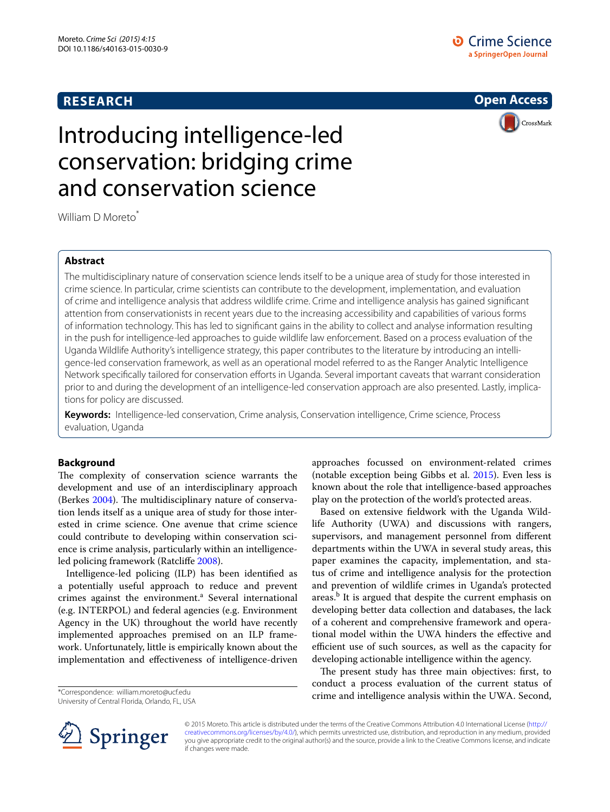# **RESEARCH**



**Open Access**

CrossMark

# Introducing intelligence-led conservation: bridging crime

William D Moreto<sup>\*</sup>

## **Abstract**

The multidisciplinary nature of conservation science lends itself to be a unique area of study for those interested in crime science. In particular, crime scientists can contribute to the development, implementation, and evaluation of crime and intelligence analysis that address wildlife crime. Crime and intelligence analysis has gained significant attention from conservationists in recent years due to the increasing accessibility and capabilities of various forms of information technology. This has led to significant gains in the ability to collect and analyse information resulting in the push for intelligence-led approaches to guide wildlife law enforcement. Based on a process evaluation of the Uganda Wildlife Authority's intelligence strategy, this paper contributes to the literature by introducing an intelligence-led conservation framework, as well as an operational model referred to as the Ranger Analytic Intelligence Network specifically tailored for conservation efforts in Uganda. Several important caveats that warrant consideration prior to and during the development of an intelligence-led conservation approach are also presented. Lastly, implications for policy are discussed.

**Keywords:** Intelligence-led conservation, Crime analysis, Conservation intelligence, Crime science, Process evaluation, Uganda

### **Background**

The complexity of conservation science warrants the development and use of an interdisciplinary approach (Berkes [2004\)](#page-9-0). The multidisciplinary nature of conservation lends itself as a unique area of study for those interested in crime science. One avenue that crime science could contribute to developing within conservation science is crime analysis, particularly within an intelligenceled policing framework (Ratcliffe [2008](#page-10-0)).

and conservation science

Intelligence-led policing (ILP) has been identified as a potentially useful approach to reduce and prevent crimes against the environment.<sup>a</sup> Several international (e.g. INTERPOL) and federal agencies (e.g. Environment Agency in the UK) throughout the world have recently implemented approaches premised on an ILP framework. Unfortunately, little is empirically known about the implementation and effectiveness of intelligence-driven

\*Correspondence: william.moreto@ucf.edu University of Central Florida, Orlando, FL, USA approaches focussed on environment-related crimes (notable exception being Gibbs et al. [2015\)](#page-10-1). Even less is known about the role that intelligence-based approaches play on the protection of the world's protected areas.

Based on extensive fieldwork with the Uganda Wildlife Authority (UWA) and discussions with rangers, supervisors, and management personnel from different departments within the UWA in several study areas, this paper examines the capacity, implementation, and status of crime and intelligence analysis for the protection and prevention of wildlife crimes in Uganda's protected areas.<sup>b</sup> It is argued that despite the current emphasis on developing better data collection and databases, the lack of a coherent and comprehensive framework and operational model within the UWA hinders the effective and efficient use of such sources, as well as the capacity for developing actionable intelligence within the agency.

The present study has three main objectives: first, to conduct a process evaluation of the current status of crime and intelligence analysis within the UWA. Second,



© 2015 Moreto. This article is distributed under the terms of the Creative Commons Attribution 4.0 International License [\(http://](http://creativecommons.org/licenses/by/4.0/) [creativecommons.org/licenses/by/4.0/](http://creativecommons.org/licenses/by/4.0/)), which permits unrestricted use, distribution, and reproduction in any medium, provided you give appropriate credit to the original author(s) and the source, provide a link to the Creative Commons license, and indicate if changes were made.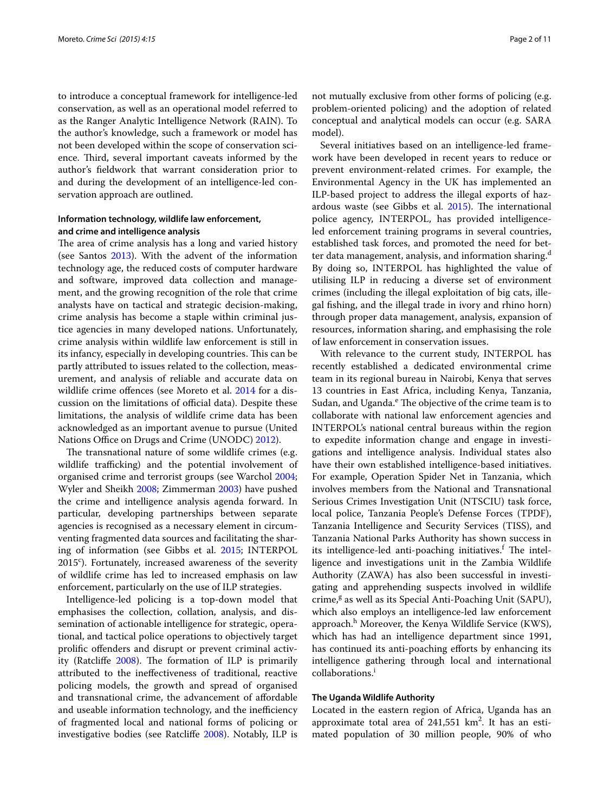to introduce a conceptual framework for intelligence-led conservation, as well as an operational model referred to as the Ranger Analytic Intelligence Network (RAIN). To the author's knowledge, such a framework or model has not been developed within the scope of conservation science. Third, several important caveats informed by the author's fieldwork that warrant consideration prior to and during the development of an intelligence-led conservation approach are outlined.

## **Information technology, wildlife law enforcement, and crime and intelligence analysis**

The area of crime analysis has a long and varied history (see Santos [2013](#page-10-2)). With the advent of the information technology age, the reduced costs of computer hardware and software, improved data collection and management, and the growing recognition of the role that crime analysts have on tactical and strategic decision-making, crime analysis has become a staple within criminal justice agencies in many developed nations. Unfortunately, crime analysis within wildlife law enforcement is still in its infancy, especially in developing countries. This can be partly attributed to issues related to the collection, measurement, and analysis of reliable and accurate data on wildlife crime offences (see Moreto et al. [2014](#page-10-3) for a discussion on the limitations of official data). Despite these limitations, the analysis of wildlife crime data has been acknowledged as an important avenue to pursue (United Nations Office on Drugs and Crime (UNODC) [2012](#page-10-4)).

The transnational nature of some wildlife crimes (e.g. wildlife trafficking) and the potential involvement of organised crime and terrorist groups (see Warchol [2004](#page-10-5); Wyler and Sheikh [2008](#page-10-6); Zimmerman [2003](#page-10-7)) have pushed the crime and intelligence analysis agenda forward. In particular, developing partnerships between separate agencies is recognised as a necessary element in circumventing fragmented data sources and facilitating the sharing of information (see Gibbs et al. [2015](#page-10-1); INTERPOL 2015<sup>c</sup>). Fortunately, increased awareness of the severity of wildlife crime has led to increased emphasis on law enforcement, particularly on the use of ILP strategies.

Intelligence-led policing is a top-down model that emphasises the collection, collation, analysis, and dissemination of actionable intelligence for strategic, operational, and tactical police operations to objectively target prolific offenders and disrupt or prevent criminal activity (Ratcliffe [2008\)](#page-10-0). The formation of ILP is primarily attributed to the ineffectiveness of traditional, reactive policing models, the growth and spread of organised and transnational crime, the advancement of affordable and useable information technology, and the inefficiency of fragmented local and national forms of policing or investigative bodies (see Ratcliffe [2008\)](#page-10-0). Notably, ILP is

not mutually exclusive from other forms of policing (e.g. problem-oriented policing) and the adoption of related conceptual and analytical models can occur (e.g. SARA model).

Several initiatives based on an intelligence-led framework have been developed in recent years to reduce or prevent environment-related crimes. For example, the Environmental Agency in the UK has implemented an ILP-based project to address the illegal exports of hazardous waste (see Gibbs et al. [2015\)](#page-10-1). The international police agency, INTERPOL, has provided intelligenceled enforcement training programs in several countries, established task forces, and promoted the need for better data management, analysis, and information sharing.<sup>d</sup> By doing so, INTERPOL has highlighted the value of utilising ILP in reducing a diverse set of environment crimes (including the illegal exploitation of big cats, illegal fishing, and the illegal trade in ivory and rhino horn) through proper data management, analysis, expansion of resources, information sharing, and emphasising the role of law enforcement in conservation issues.

With relevance to the current study, INTERPOL has recently established a dedicated environmental crime team in its regional bureau in Nairobi, Kenya that serves 13 countries in East Africa, including Kenya, Tanzania, Sudan, and Uganda. $^e$  The objective of the crime team is to collaborate with national law enforcement agencies and INTERPOL's national central bureaus within the region to expedite information change and engage in investigations and intelligence analysis. Individual states also have their own established intelligence-based initiatives. For example, Operation Spider Net in Tanzania, which involves members from the National and Transnational Serious Crimes Investigation Unit (NTSCIU) task force, local police, Tanzania People's Defense Forces (TPDF), Tanzania Intelligence and Security Services (TISS), and Tanzania National Parks Authority has shown success in its intelligence-led anti-poaching initiatives.<sup>*f*</sup> The intelligence and investigations unit in the Zambia Wildlife Authority (ZAWA) has also been successful in investigating and apprehending suspects involved in wildlife crime,<sup>g</sup> as well as its Special Anti-Poaching Unit (SAPU), which also employs an intelligence-led law enforcement approach.<sup>h</sup> Moreover, the Kenya Wildlife Service (KWS), which has had an intelligence department since 1991, has continued its anti-poaching efforts by enhancing its intelligence gathering through local and international collaborations.<sup>i</sup>

#### **The Uganda Wildlife Authority**

Located in the eastern region of Africa, Uganda has an approximate total area of  $241,551$  km<sup>2</sup>. It has an estimated population of 30 million people, 90% of who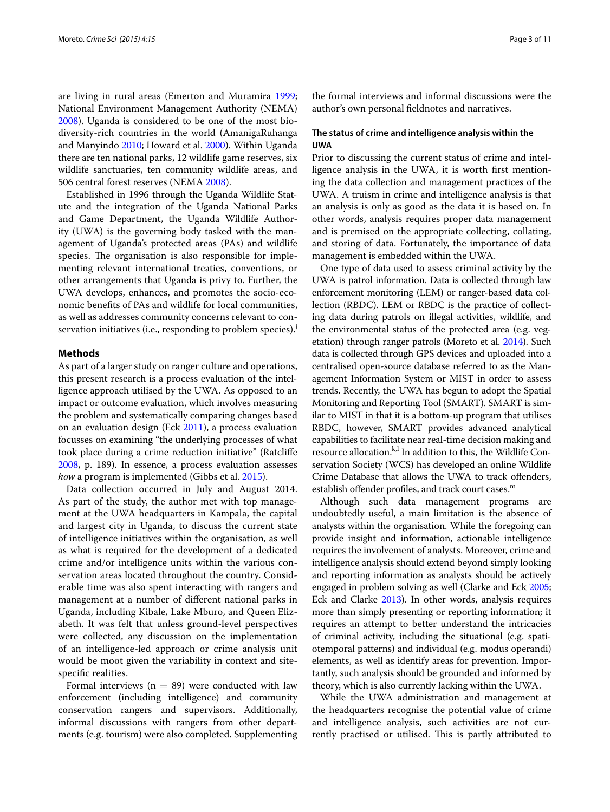are living in rural areas (Emerton and Muramira [1999](#page-9-1); National Environment Management Authority (NEMA) [2008](#page-10-8)). Uganda is considered to be one of the most biodiversity-rich countries in the world (AmanigaRuhanga and Manyindo [2010](#page-9-2); Howard et al. [2000\)](#page-10-9). Within Uganda there are ten national parks, 12 wildlife game reserves, six wildlife sanctuaries, ten community wildlife areas, and 506 central forest reserves (NEMA [2008\)](#page-10-8).

Established in 1996 through the Uganda Wildlife Statute and the integration of the Uganda National Parks and Game Department, the Uganda Wildlife Authority (UWA) is the governing body tasked with the management of Uganda's protected areas (PAs) and wildlife species. The organisation is also responsible for implementing relevant international treaties, conventions, or other arrangements that Uganda is privy to. Further, the UWA develops, enhances, and promotes the socio-economic benefits of PAs and wildlife for local communities, as well as addresses community concerns relevant to conservation initiatives (i.e., responding to problem species).<sup>*j*</sup>

#### **Methods**

As part of a larger study on ranger culture and operations, this present research is a process evaluation of the intelligence approach utilised by the UWA. As opposed to an impact or outcome evaluation, which involves measuring the problem and systematically comparing changes based on an evaluation design (Eck [2011\)](#page-9-3), a process evaluation focusses on examining "the underlying processes of what took place during a crime reduction initiative" (Ratcliffe [2008](#page-10-0), p. 189). In essence, a process evaluation assesses *how* a program is implemented (Gibbs et al. [2015](#page-10-1)).

Data collection occurred in July and August 2014. As part of the study, the author met with top management at the UWA headquarters in Kampala, the capital and largest city in Uganda, to discuss the current state of intelligence initiatives within the organisation, as well as what is required for the development of a dedicated crime and/or intelligence units within the various conservation areas located throughout the country. Considerable time was also spent interacting with rangers and management at a number of different national parks in Uganda, including Kibale, Lake Mburo, and Queen Elizabeth. It was felt that unless ground-level perspectives were collected, any discussion on the implementation of an intelligence-led approach or crime analysis unit would be moot given the variability in context and sitespecific realities.

Formal interviews ( $n = 89$ ) were conducted with law enforcement (including intelligence) and community conservation rangers and supervisors. Additionally, informal discussions with rangers from other departments (e.g. tourism) were also completed. Supplementing

the formal interviews and informal discussions were the author's own personal fieldnotes and narratives.

### **The status of crime and intelligence analysis within the UWA**

Prior to discussing the current status of crime and intelligence analysis in the UWA, it is worth first mentioning the data collection and management practices of the UWA. A truism in crime and intelligence analysis is that an analysis is only as good as the data it is based on. In other words, analysis requires proper data management and is premised on the appropriate collecting, collating, and storing of data. Fortunately, the importance of data management is embedded within the UWA.

One type of data used to assess criminal activity by the UWA is patrol information. Data is collected through law enforcement monitoring (LEM) or ranger-based data collection (RBDC). LEM or RBDC is the practice of collecting data during patrols on illegal activities, wildlife, and the environmental status of the protected area (e.g. vegetation) through ranger patrols (Moreto et al. [2014\)](#page-10-3). Such data is collected through GPS devices and uploaded into a centralised open-source database referred to as the Management Information System or MIST in order to assess trends. Recently, the UWA has begun to adopt the Spatial Monitoring and Reporting Tool (SMART). SMART is similar to MIST in that it is a bottom-up program that utilises RBDC, however, SMART provides advanced analytical capabilities to facilitate near real-time decision making and resource allocation.<sup>k,l</sup> In addition to this, the Wildlife Conservation Society (WCS) has developed an online Wildlife Crime Database that allows the UWA to track offenders, establish offender profiles, and track court cases.<sup>m</sup>

Although such data management programs are undoubtedly useful, a main limitation is the absence of analysts within the organisation. While the foregoing can provide insight and information, actionable intelligence requires the involvement of analysts. Moreover, crime and intelligence analysis should extend beyond simply looking and reporting information as analysts should be actively engaged in problem solving as well (Clarke and Eck [2005](#page-9-4); Eck and Clarke [2013](#page-9-5)). In other words, analysis requires more than simply presenting or reporting information; it requires an attempt to better understand the intricacies of criminal activity, including the situational (e.g. spatiotemporal patterns) and individual (e.g. modus operandi) elements, as well as identify areas for prevention. Importantly, such analysis should be grounded and informed by theory, which is also currently lacking within the UWA.

While the UWA administration and management at the headquarters recognise the potential value of crime and intelligence analysis, such activities are not currently practised or utilised. This is partly attributed to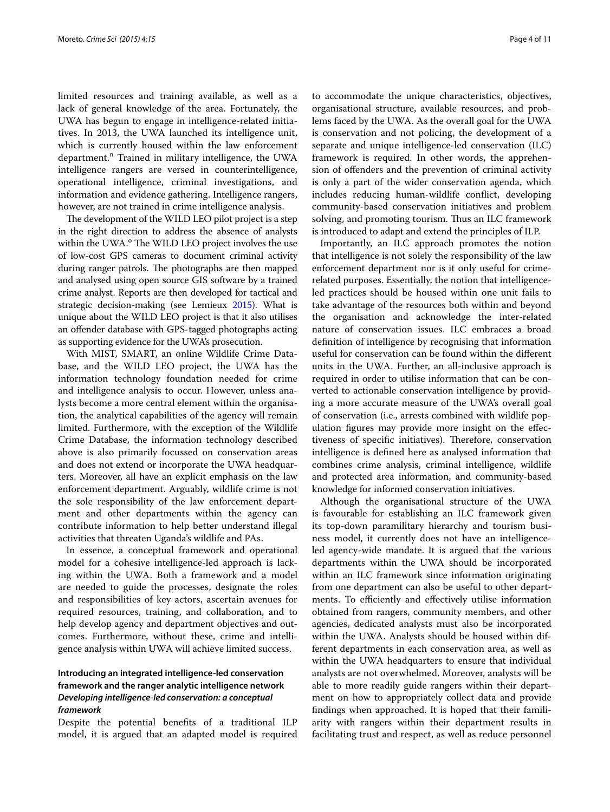limited resources and training available, as well as a lack of general knowledge of the area. Fortunately, the UWA has begun to engage in intelligence-related initiatives. In 2013, the UWA launched its intelligence unit, which is currently housed within the law enforcement department.<sup>n</sup> Trained in military intelligence, the UWA intelligence rangers are versed in counterintelligence, operational intelligence, criminal investigations, and information and evidence gathering. Intelligence rangers, however, are not trained in crime intelligence analysis.

The development of the WILD LEO pilot project is a step in the right direction to address the absence of analysts within the UWA.<sup>o</sup> The WILD LEO project involves the use of low-cost GPS cameras to document criminal activity during ranger patrols. The photographs are then mapped and analysed using open source GIS software by a trained crime analyst. Reports are then developed for tactical and strategic decision-making (see Lemieux [2015](#page-10-10)). What is unique about the WILD LEO project is that it also utilises an offender database with GPS-tagged photographs acting as supporting evidence for the UWA's prosecution.

With MIST, SMART, an online Wildlife Crime Database, and the WILD LEO project, the UWA has the information technology foundation needed for crime and intelligence analysis to occur. However, unless analysts become a more central element within the organisation, the analytical capabilities of the agency will remain limited. Furthermore, with the exception of the Wildlife Crime Database, the information technology described above is also primarily focussed on conservation areas and does not extend or incorporate the UWA headquarters. Moreover, all have an explicit emphasis on the law enforcement department. Arguably, wildlife crime is not the sole responsibility of the law enforcement department and other departments within the agency can contribute information to help better understand illegal activities that threaten Uganda's wildlife and PAs.

In essence, a conceptual framework and operational model for a cohesive intelligence-led approach is lacking within the UWA. Both a framework and a model are needed to guide the processes, designate the roles and responsibilities of key actors, ascertain avenues for required resources, training, and collaboration, and to help develop agency and department objectives and outcomes. Furthermore, without these, crime and intelligence analysis within UWA will achieve limited success.

## **Introducing an integrated intelligence‑led conservation framework and the ranger analytic intelligence network** *Developing intelligence‑led conservation: a conceptual framework*

Despite the potential benefits of a traditional ILP model, it is argued that an adapted model is required

to accommodate the unique characteristics, objectives, organisational structure, available resources, and problems faced by the UWA. As the overall goal for the UWA is conservation and not policing, the development of a separate and unique intelligence-led conservation (ILC) framework is required. In other words, the apprehension of offenders and the prevention of criminal activity is only a part of the wider conservation agenda, which includes reducing human-wildlife conflict, developing community-based conservation initiatives and problem

solving, and promoting tourism. Thus an ILC framework

is introduced to adapt and extend the principles of ILP. Importantly, an ILC approach promotes the notion that intelligence is not solely the responsibility of the law enforcement department nor is it only useful for crimerelated purposes. Essentially, the notion that intelligenceled practices should be housed within one unit fails to take advantage of the resources both within and beyond the organisation and acknowledge the inter-related nature of conservation issues. ILC embraces a broad definition of intelligence by recognising that information useful for conservation can be found within the different units in the UWA. Further, an all-inclusive approach is required in order to utilise information that can be converted to actionable conservation intelligence by providing a more accurate measure of the UWA's overall goal of conservation (i.e., arrests combined with wildlife population figures may provide more insight on the effectiveness of specific initiatives). Therefore, conservation intelligence is defined here as analysed information that combines crime analysis, criminal intelligence, wildlife and protected area information, and community-based knowledge for informed conservation initiatives.

Although the organisational structure of the UWA is favourable for establishing an ILC framework given its top-down paramilitary hierarchy and tourism business model, it currently does not have an intelligenceled agency-wide mandate. It is argued that the various departments within the UWA should be incorporated within an ILC framework since information originating from one department can also be useful to other departments. To efficiently and effectively utilise information obtained from rangers, community members, and other agencies, dedicated analysts must also be incorporated within the UWA. Analysts should be housed within different departments in each conservation area, as well as within the UWA headquarters to ensure that individual analysts are not overwhelmed. Moreover, analysts will be able to more readily guide rangers within their department on how to appropriately collect data and provide findings when approached. It is hoped that their familiarity with rangers within their department results in facilitating trust and respect, as well as reduce personnel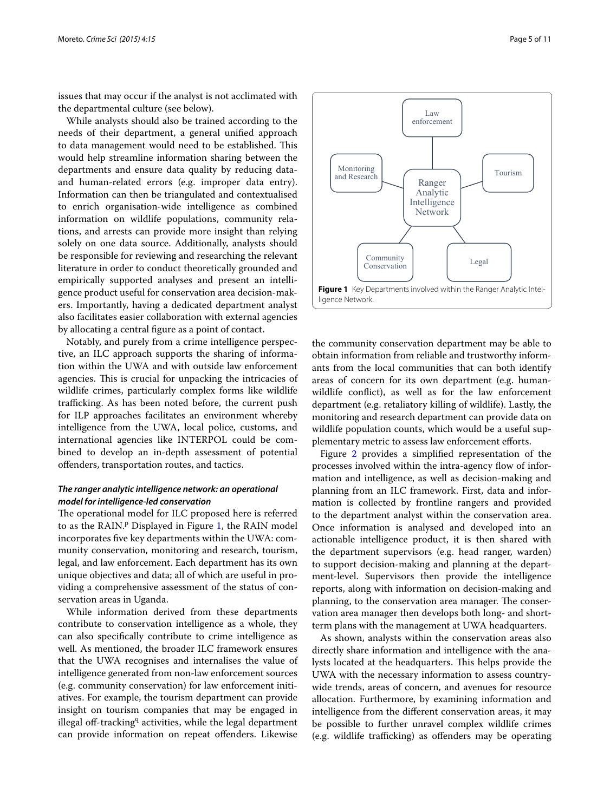issues that may occur if the analyst is not acclimated with the departmental culture (see below).

While analysts should also be trained according to the needs of their department, a general unified approach to data management would need to be established. This would help streamline information sharing between the departments and ensure data quality by reducing dataand human-related errors (e.g. improper data entry). Information can then be triangulated and contextualised to enrich organisation-wide intelligence as combined information on wildlife populations, community relations, and arrests can provide more insight than relying solely on one data source. Additionally, analysts should be responsible for reviewing and researching the relevant literature in order to conduct theoretically grounded and empirically supported analyses and present an intelligence product useful for conservation area decision-makers. Importantly, having a dedicated department analyst also facilitates easier collaboration with external agencies by allocating a central figure as a point of contact.

Notably, and purely from a crime intelligence perspective, an ILC approach supports the sharing of information within the UWA and with outside law enforcement agencies. This is crucial for unpacking the intricacies of wildlife crimes, particularly complex forms like wildlife trafficking. As has been noted before, the current push for ILP approaches facilitates an environment whereby intelligence from the UWA, local police, customs, and international agencies like INTERPOL could be combined to develop an in-depth assessment of potential offenders, transportation routes, and tactics.

## *The ranger analytic intelligence network: an operational model for intelligence‑led conservation*

The operational model for ILC proposed here is referred to as the RAIN.<sup>P</sup> Displayed in Figure [1](#page-4-0), the RAIN model incorporates five key departments within the UWA: community conservation, monitoring and research, tourism, legal, and law enforcement. Each department has its own unique objectives and data; all of which are useful in providing a comprehensive assessment of the status of conservation areas in Uganda.

While information derived from these departments contribute to conservation intelligence as a whole, they can also specifically contribute to crime intelligence as well. As mentioned, the broader ILC framework ensures that the UWA recognises and internalises the value of intelligence generated from non-law enforcement sources (e.g. community conservation) for law enforcement initiatives. For example, the tourism department can provide insight on tourism companies that may be engaged in illegal off-tracking<sup>q</sup> activities, while the legal department can provide information on repeat offenders. Likewise



<span id="page-4-0"></span>the community conservation department may be able to obtain information from reliable and trustworthy informants from the local communities that can both identify areas of concern for its own department (e.g. humanwildlife conflict), as well as for the law enforcement department (e.g. retaliatory killing of wildlife). Lastly, the monitoring and research department can provide data on wildlife population counts, which would be a useful supplementary metric to assess law enforcement efforts.

Figure [2](#page-5-0) provides a simplified representation of the processes involved within the intra-agency flow of information and intelligence, as well as decision-making and planning from an ILC framework. First, data and information is collected by frontline rangers and provided to the department analyst within the conservation area. Once information is analysed and developed into an actionable intelligence product, it is then shared with the department supervisors (e.g. head ranger, warden) to support decision-making and planning at the department-level. Supervisors then provide the intelligence reports, along with information on decision-making and planning, to the conservation area manager. The conservation area manager then develops both long- and shortterm plans with the management at UWA headquarters.

As shown, analysts within the conservation areas also directly share information and intelligence with the analysts located at the headquarters. This helps provide the UWA with the necessary information to assess countrywide trends, areas of concern, and avenues for resource allocation. Furthermore, by examining information and intelligence from the different conservation areas, it may be possible to further unravel complex wildlife crimes (e.g. wildlife trafficking) as offenders may be operating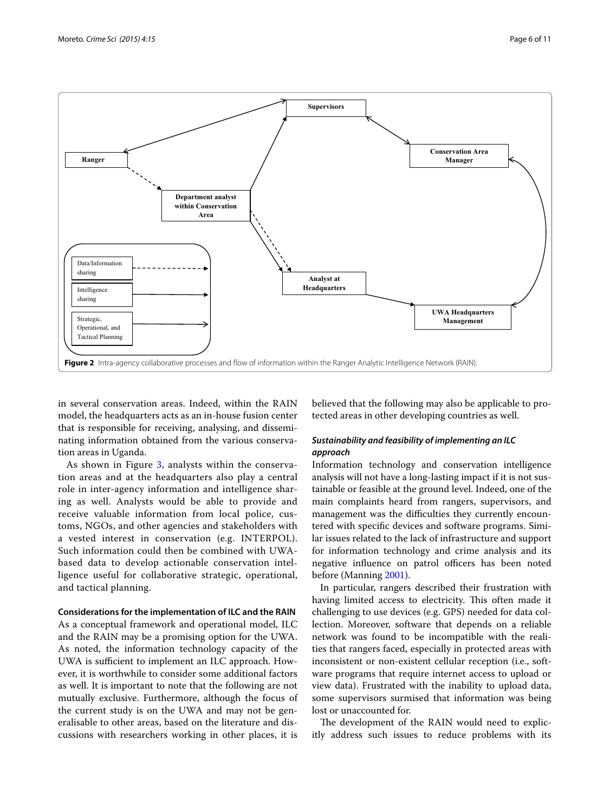

<span id="page-5-0"></span>in several conservation areas. Indeed, within the RAIN model, the headquarters acts as an in-house fusion center that is responsible for receiving, analysing, and disseminating information obtained from the various conservation areas in Uganda.

As shown in Figure [3](#page-6-0), analysts within the conservation areas and at the headquarters also play a central role in inter-agency information and intelligence sharing as well. Analysts would be able to provide and receive valuable information from local police, customs, NGOs, and other agencies and stakeholders with a vested interest in conservation (e.g. INTERPOL). Such information could then be combined with UWAbased data to develop actionable conservation intelligence useful for collaborative strategic, operational, and tactical planning.

**Considerations for the implementation of ILC and the RAIN** As a conceptual framework and operational model, ILC and the RAIN may be a promising option for the UWA. As noted, the information technology capacity of the UWA is sufficient to implement an ILC approach. However, it is worthwhile to consider some additional factors as well. It is important to note that the following are not mutually exclusive. Furthermore, although the focus of the current study is on the UWA and may not be generalisable to other areas, based on the literature and discussions with researchers working in other places, it is

believed that the following may also be applicable to protected areas in other developing countries as well.

## *Sustainability and feasibility of implementing an ILC approach*

Information technology and conservation intelligence analysis will not have a long-lasting impact if it is not sustainable or feasible at the ground level. Indeed, one of the main complaints heard from rangers, supervisors, and management was the difficulties they currently encountered with specific devices and software programs. Similar issues related to the lack of infrastructure and support for information technology and crime analysis and its negative influence on patrol officers has been noted before (Manning [2001](#page-10-11)).

In particular, rangers described their frustration with having limited access to electricity. This often made it challenging to use devices (e.g. GPS) needed for data collection. Moreover, software that depends on a reliable network was found to be incompatible with the realities that rangers faced, especially in protected areas with inconsistent or non-existent cellular reception (i.e., software programs that require internet access to upload or view data). Frustrated with the inability to upload data, some supervisors surmised that information was being lost or unaccounted for.

The development of the RAIN would need to explicitly address such issues to reduce problems with its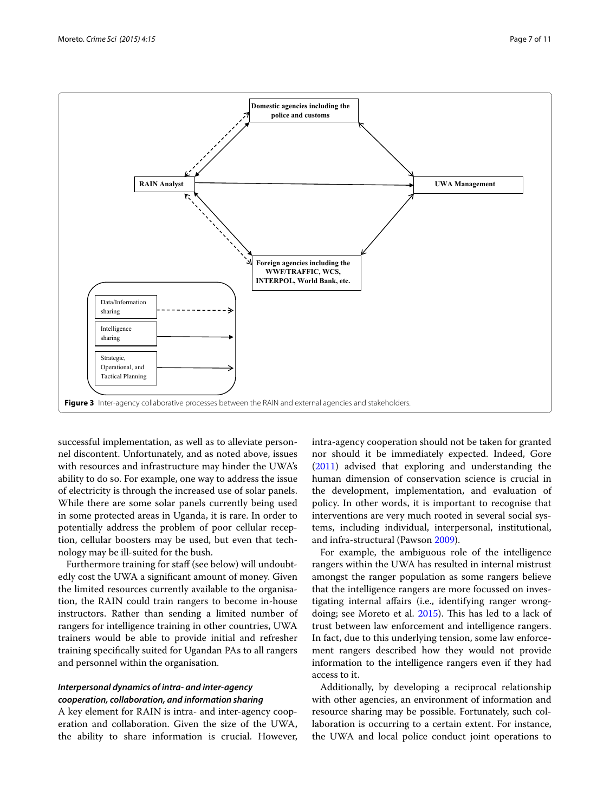

<span id="page-6-0"></span>successful implementation, as well as to alleviate personnel discontent. Unfortunately, and as noted above, issues with resources and infrastructure may hinder the UWA's ability to do so. For example, one way to address the issue of electricity is through the increased use of solar panels. While there are some solar panels currently being used in some protected areas in Uganda, it is rare. In order to potentially address the problem of poor cellular reception, cellular boosters may be used, but even that technology may be ill-suited for the bush.

Furthermore training for staff (see below) will undoubtedly cost the UWA a significant amount of money. Given the limited resources currently available to the organisation, the RAIN could train rangers to become in-house instructors. Rather than sending a limited number of rangers for intelligence training in other countries, UWA trainers would be able to provide initial and refresher training specifically suited for Ugandan PAs to all rangers and personnel within the organisation.

## *Interpersonal dynamics of intra‑ and inter‑agency cooperation, collaboration, and information sharing*

A key element for RAIN is intra- and inter-agency cooperation and collaboration. Given the size of the UWA, the ability to share information is crucial. However, intra-agency cooperation should not be taken for granted nor should it be immediately expected. Indeed, Gore ([2011\)](#page-10-12) advised that exploring and understanding the human dimension of conservation science is crucial in the development, implementation, and evaluation of policy. In other words, it is important to recognise that interventions are very much rooted in several social systems, including individual, interpersonal, institutional, and infra-structural (Pawson [2009](#page-10-13)).

For example, the ambiguous role of the intelligence rangers within the UWA has resulted in internal mistrust amongst the ranger population as some rangers believe that the intelligence rangers are more focussed on investigating internal affairs (i.e., identifying ranger wrongdoing; see Moreto et al. [2015\)](#page-10-14). This has led to a lack of trust between law enforcement and intelligence rangers. In fact, due to this underlying tension, some law enforcement rangers described how they would not provide information to the intelligence rangers even if they had access to it.

Additionally, by developing a reciprocal relationship with other agencies, an environment of information and resource sharing may be possible. Fortunately, such collaboration is occurring to a certain extent. For instance, the UWA and local police conduct joint operations to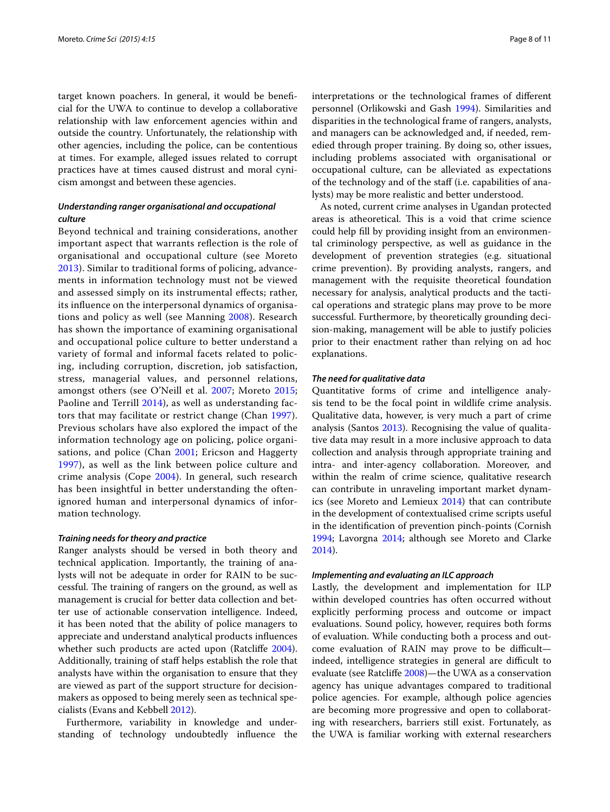target known poachers. In general, it would be beneficial for the UWA to continue to develop a collaborative relationship with law enforcement agencies within and outside the country. Unfortunately, the relationship with other agencies, including the police, can be contentious at times. For example, alleged issues related to corrupt practices have at times caused distrust and moral cynicism amongst and between these agencies.

## *Understanding ranger organisational and occupational culture*

Beyond technical and training considerations, another important aspect that warrants reflection is the role of organisational and occupational culture (see Moreto [2013\)](#page-10-15). Similar to traditional forms of policing, advancements in information technology must not be viewed and assessed simply on its instrumental effects; rather, its influence on the interpersonal dynamics of organisations and policy as well (see Manning [2008\)](#page-10-16). Research has shown the importance of examining organisational and occupational police culture to better understand a variety of formal and informal facets related to policing, including corruption, discretion, job satisfaction, stress, managerial values, and personnel relations, amongst others (see O'Neill et al. [2007;](#page-10-17) Moreto [2015](#page-10-18); Paoline and Terrill [2014\)](#page-10-19), as well as understanding factors that may facilitate or restrict change (Chan [1997\)](#page-9-6). Previous scholars have also explored the impact of the information technology age on policing, police organi-sations, and police (Chan [2001;](#page-9-7) Ericson and Haggerty [1997\)](#page-10-20), as well as the link between police culture and crime analysis (Cope [2004\)](#page-9-8). In general, such research has been insightful in better understanding the oftenignored human and interpersonal dynamics of information technology.

#### *Training needs for theory and practice*

Ranger analysts should be versed in both theory and technical application. Importantly, the training of analysts will not be adequate in order for RAIN to be successful. The training of rangers on the ground, as well as management is crucial for better data collection and better use of actionable conservation intelligence. Indeed, it has been noted that the ability of police managers to appreciate and understand analytical products influences whether such products are acted upon (Ratcliffe [2004](#page-10-21)). Additionally, training of staff helps establish the role that analysts have within the organisation to ensure that they are viewed as part of the support structure for decisionmakers as opposed to being merely seen as technical specialists (Evans and Kebbell [2012](#page-10-22)).

Furthermore, variability in knowledge and understanding of technology undoubtedly influence the interpretations or the technological frames of different personnel (Orlikowski and Gash [1994](#page-10-23)). Similarities and disparities in the technological frame of rangers, analysts, and managers can be acknowledged and, if needed, remedied through proper training. By doing so, other issues, including problems associated with organisational or occupational culture, can be alleviated as expectations of the technology and of the staff (i.e. capabilities of analysts) may be more realistic and better understood.

As noted, current crime analyses in Ugandan protected areas is atheoretical. This is a void that crime science could help fill by providing insight from an environmental criminology perspective, as well as guidance in the development of prevention strategies (e.g. situational crime prevention). By providing analysts, rangers, and management with the requisite theoretical foundation necessary for analysis, analytical products and the tactical operations and strategic plans may prove to be more successful. Furthermore, by theoretically grounding decision-making, management will be able to justify policies prior to their enactment rather than relying on ad hoc explanations.

#### *The need for qualitative data*

Quantitative forms of crime and intelligence analysis tend to be the focal point in wildlife crime analysis. Qualitative data, however, is very much a part of crime analysis (Santos [2013\)](#page-10-2). Recognising the value of qualitative data may result in a more inclusive approach to data collection and analysis through appropriate training and intra- and inter-agency collaboration. Moreover, and within the realm of crime science, qualitative research can contribute in unraveling important market dynamics (see Moreto and Lemieux [2014](#page-10-24)) that can contribute in the development of contextualised crime scripts useful in the identification of prevention pinch-points (Cornish [1994](#page-9-9); Lavorgna [2014](#page-10-25); although see Moreto and Clarke [2014](#page-10-26)).

#### *Implementing and evaluating an ILC approach*

Lastly, the development and implementation for ILP within developed countries has often occurred without explicitly performing process and outcome or impact evaluations. Sound policy, however, requires both forms of evaluation. While conducting both a process and outcome evaluation of RAIN may prove to be difficult indeed, intelligence strategies in general are difficult to evaluate (see Ratcliffe [2008\)](#page-10-0)—the UWA as a conservation agency has unique advantages compared to traditional police agencies. For example, although police agencies are becoming more progressive and open to collaborating with researchers, barriers still exist. Fortunately, as the UWA is familiar working with external researchers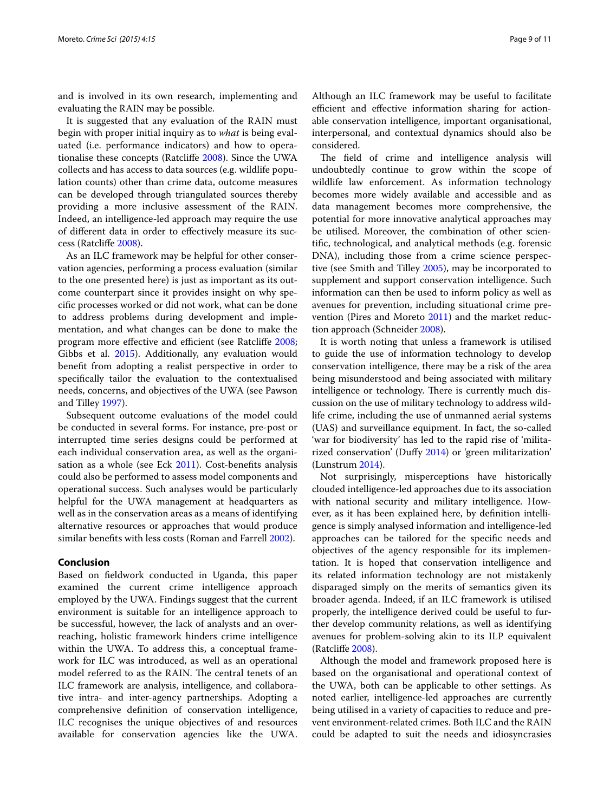and is involved in its own research, implementing and evaluating the RAIN may be possible.

It is suggested that any evaluation of the RAIN must begin with proper initial inquiry as to *what* is being evaluated (i.e. performance indicators) and how to operationalise these concepts (Ratcliffe [2008](#page-10-0)). Since the UWA collects and has access to data sources (e.g. wildlife population counts) other than crime data, outcome measures can be developed through triangulated sources thereby providing a more inclusive assessment of the RAIN. Indeed, an intelligence-led approach may require the use of different data in order to effectively measure its success (Ratcliffe [2008](#page-10-0)).

As an ILC framework may be helpful for other conservation agencies, performing a process evaluation (similar to the one presented here) is just as important as its outcome counterpart since it provides insight on why specific processes worked or did not work, what can be done to address problems during development and implementation, and what changes can be done to make the program more effective and efficient (see Ratcliffe [2008](#page-10-0); Gibbs et al. [2015\)](#page-10-1). Additionally, any evaluation would benefit from adopting a realist perspective in order to specifically tailor the evaluation to the contextualised needs, concerns, and objectives of the UWA (see Pawson and Tilley [1997\)](#page-10-27).

Subsequent outcome evaluations of the model could be conducted in several forms. For instance, pre-post or interrupted time series designs could be performed at each individual conservation area, as well as the organisation as a whole (see Eck [2011](#page-9-3)). Cost-benefits analysis could also be performed to assess model components and operational success. Such analyses would be particularly helpful for the UWA management at headquarters as well as in the conservation areas as a means of identifying alternative resources or approaches that would produce similar benefits with less costs (Roman and Farrell [2002\)](#page-10-28).

#### **Conclusion**

Based on fieldwork conducted in Uganda, this paper examined the current crime intelligence approach employed by the UWA. Findings suggest that the current environment is suitable for an intelligence approach to be successful, however, the lack of analysts and an overreaching, holistic framework hinders crime intelligence within the UWA. To address this, a conceptual framework for ILC was introduced, as well as an operational model referred to as the RAIN. The central tenets of an ILC framework are analysis, intelligence, and collaborative intra- and inter-agency partnerships. Adopting a comprehensive definition of conservation intelligence, ILC recognises the unique objectives of and resources available for conservation agencies like the UWA.

Although an ILC framework may be useful to facilitate efficient and effective information sharing for actionable conservation intelligence, important organisational, interpersonal, and contextual dynamics should also be considered.

The field of crime and intelligence analysis will undoubtedly continue to grow within the scope of wildlife law enforcement. As information technology becomes more widely available and accessible and as data management becomes more comprehensive, the potential for more innovative analytical approaches may be utilised. Moreover, the combination of other scientific, technological, and analytical methods (e.g. forensic DNA), including those from a crime science perspective (see Smith and Tilley [2005\)](#page-10-29), may be incorporated to supplement and support conservation intelligence. Such information can then be used to inform policy as well as avenues for prevention, including situational crime prevention (Pires and Moreto [2011](#page-10-30)) and the market reduction approach (Schneider [2008](#page-10-31)).

It is worth noting that unless a framework is utilised to guide the use of information technology to develop conservation intelligence, there may be a risk of the area being misunderstood and being associated with military intelligence or technology. There is currently much discussion on the use of military technology to address wildlife crime, including the use of unmanned aerial systems (UAS) and surveillance equipment. In fact, the so-called 'war for biodiversity' has led to the rapid rise of 'militarized conservation' (Duffy [2014](#page-9-10)) or 'green militarization' (Lunstrum [2014\)](#page-10-32).

Not surprisingly, misperceptions have historically clouded intelligence-led approaches due to its association with national security and military intelligence. However, as it has been explained here, by definition intelligence is simply analysed information and intelligence-led approaches can be tailored for the specific needs and objectives of the agency responsible for its implementation. It is hoped that conservation intelligence and its related information technology are not mistakenly disparaged simply on the merits of semantics given its broader agenda. Indeed, if an ILC framework is utilised properly, the intelligence derived could be useful to further develop community relations, as well as identifying avenues for problem-solving akin to its ILP equivalent (Ratcliffe [2008](#page-10-0)).

Although the model and framework proposed here is based on the organisational and operational context of the UWA, both can be applicable to other settings. As noted earlier, intelligence-led approaches are currently being utilised in a variety of capacities to reduce and prevent environment-related crimes. Both ILC and the RAIN could be adapted to suit the needs and idiosyncrasies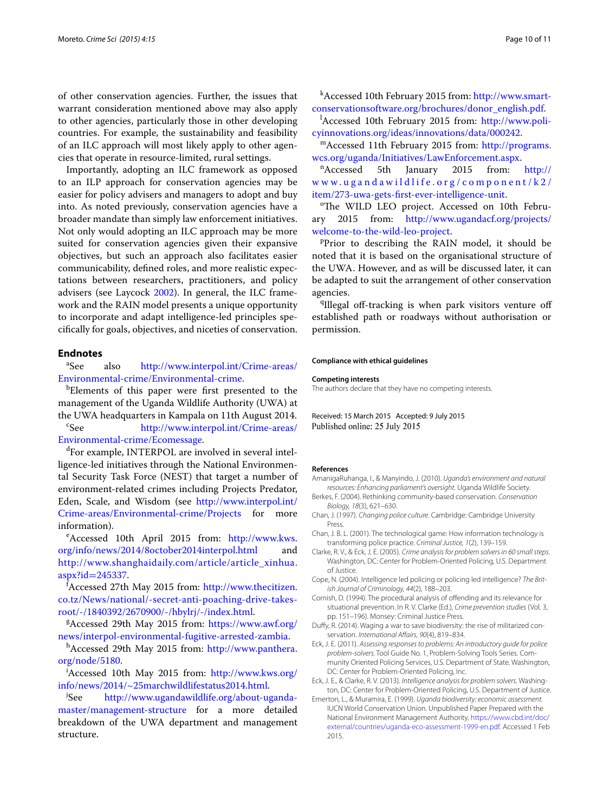of other conservation agencies. Further, the issues that warrant consideration mentioned above may also apply to other agencies, particularly those in other developing countries. For example, the sustainability and feasibility of an ILC approach will most likely apply to other agencies that operate in resource-limited, rural settings.

Importantly, adopting an ILC framework as opposed to an ILP approach for conservation agencies may be easier for policy advisers and managers to adopt and buy into. As noted previously, conservation agencies have a broader mandate than simply law enforcement initiatives. Not only would adopting an ILC approach may be more suited for conservation agencies given their expansive objectives, but such an approach also facilitates easier communicability, defined roles, and more realistic expectations between researchers, practitioners, and policy advisers (see Laycock [2002\)](#page-10-33). In general, the ILC framework and the RAIN model presents a unique opportunity to incorporate and adapt intelligence-led principles specifically for goals, objectives, and niceties of conservation.

#### **Endnotes**

aSee also [http://www.interpol.int/Crime-areas/](http://www.interpol.int/Crime-areas/Environmental-crime/Environmental-crime) [Environmental-crime/Environmental-crime](http://www.interpol.int/Crime-areas/Environmental-crime/Environmental-crime).

<sup>b</sup>Elements of this paper were first presented to the management of the Uganda Wildlife Authority (UWA) at the UWA headquarters in Kampala on 11th August 2014.

c [http://www.interpol.int/Crime-areas/](http://www.interpol.int/Crime-areas/Environmental-crime/Ecomessage) [Environmental-crime/Ecomessage](http://www.interpol.int/Crime-areas/Environmental-crime/Ecomessage).

d For example, INTERPOL are involved in several intelligence-led initiatives through the National Environmental Security Task Force (NEST) that target a number of environment-related crimes including Projects Predator, Eden, Scale, and Wisdom (see [http://www.interpol.int/](http://www.interpol.int/Crime-areas/Environmental-crime/Projects) [Crime-areas/Environmental-crime/Projects](http://www.interpol.int/Crime-areas/Environmental-crime/Projects) for more information).

<sup>e</sup>Accessed 10th April 2015 from: [http://www.kws.](http://www.kws.org/info/news/2014/8october2014interpol.html) [org/info/news/2014/8october2014interpol.html](http://www.kws.org/info/news/2014/8october2014interpol.html) and [http://www.shanghaidaily.com/article/article\\_xinhua.](http://www.shanghaidaily.com/article/article_xinhua.aspx%3fid%3d245337)  $a$ spx?id=245337.

<sup>f</sup>Accessed 27th May 2015 from: [http://www.thecitizen.](http://www.thecitizen.co.tz/News/national/-secret-anti-poaching-drive-takes-root/-/1840392/2670900/-/hbylrj/-/index.html) [co.tz/News/national/-secret-anti-poaching-drive-takes](http://www.thecitizen.co.tz/News/national/-secret-anti-poaching-drive-takes-root/-/1840392/2670900/-/hbylrj/-/index.html)[root/-/1840392/2670900/-/hbylrj/-/index.html](http://www.thecitizen.co.tz/News/national/-secret-anti-poaching-drive-takes-root/-/1840392/2670900/-/hbylrj/-/index.html).

g Accessed 29th May 2015 from: [https://www.awf.org/](https://www.awf.org/news/interpol-environmental-fugitive-arrested-zambia) [news/interpol-environmental-fugitive-arrested-zambia](https://www.awf.org/news/interpol-environmental-fugitive-arrested-zambia).

h Accessed 29th May 2015 from: [http://www.panthera.](http://www.panthera.org/node/5180) [org/node/5180](http://www.panthera.org/node/5180).

i Accessed 10th May 2015 from: [http://www.kws.org/](http://www.kws.org/info/news/2014/%7e25marchwildlifestatus2014.html) [info/news/2014/~25marchwildlifestatus2014.html](http://www.kws.org/info/news/2014/%7e25marchwildlifestatus2014.html).

<sup>J</sup>See [http://www.ugandawildlife.org/about-uganda](http://www.ugandawildlife.org/about-uganda-master/management-structure)[master/management-structure](http://www.ugandawildlife.org/about-uganda-master/management-structure) for a more detailed breakdown of the UWA department and management structure.

<sup>k</sup>Accessed 10th February 2015 from: <mark>http://www.smart-</mark> [conservationsoftware.org/brochures/donor\\_english.pdf](http://www.smartconservationsoftware.org/brochures/donor_english.pdf).

<sup>1</sup>Accessed 10th February 2015 from: [http://www.poli](http://www.policyinnovations.org/ideas/innovations/data/000242)[cyinnovations.org/ideas/innovations/data/000242](http://www.policyinnovations.org/ideas/innovations/data/000242).

mAccessed 11th February 2015 from: [http://programs.](http://programs.wcs.org/uganda/Initiatives/LawEnforcement.aspx) [wcs.org/uganda/Initiatives/LawEnforcement.aspx.](http://programs.wcs.org/uganda/Initiatives/LawEnforcement.aspx)

n Accessed 5th January 2015 from: [http://](http://www.ugandawildlife.org/component/k2/item/273-uwa-gets-first-ever-intelligence-unit) [www.ugandawildlife.org/component/k2/](http://www.ugandawildlife.org/component/k2/item/273-uwa-gets-first-ever-intelligence-unit) [item/273-uwa-gets-first-ever-intelligence-unit](http://www.ugandawildlife.org/component/k2/item/273-uwa-gets-first-ever-intelligence-unit).

o The WILD LEO project. Accessed on 10th February 2015 from: [http://www.ugandacf.org/projects/](http://www.ugandacf.org/projects/welcome-to-the-wild-leo-project) [welcome-to-the-wild-leo-project.](http://www.ugandacf.org/projects/welcome-to-the-wild-leo-project)

p Prior to describing the RAIN model, it should be noted that it is based on the organisational structure of the UWA. However, and as will be discussed later, it can be adapted to suit the arrangement of other conservation agencies.

<sup>q</sup>Illegal off-tracking is when park visitors venture off established path or roadways without authorisation or permission.

#### **Compliance with ethical guidelines**

#### **Competing interests**

The authors declare that they have no competing interests.

Received: 15 March 2015 Accepted: 9 July 2015 Published online: 25 July 2015

#### **References**

- <span id="page-9-2"></span>AmanigaRuhanga, I., & Manyindo, J. (2010). *Uganda's environment and natural resources: Enhancing parliament's oversight.* Uganda Wildlife Society.
- <span id="page-9-0"></span>Berkes, F. (2004). Rethinking community-based conservation. *Conservation Biology, 18*(3), 621–630.
- <span id="page-9-6"></span>Chan, J. (1997). *Changing police culture*. Cambridge: Cambridge University Press.
- <span id="page-9-7"></span>Chan, J. B. L. (2001). The technological game: How information technology is transforming police practice. *Criminal Justice, 1*(2), 139–159.
- <span id="page-9-4"></span>Clarke, R. V., & Eck, J. E. (2005). *Crime analysis for problem solvers in 60 small steps*. Washington, DC: Center for Problem-Oriented Policing, U.S. Department of Justice.
- <span id="page-9-8"></span>Cope, N. (2004). Intelligence led policing or policing led intelligence? *The British Journal of Criminology, 44*(2), 188–203.
- <span id="page-9-9"></span>Cornish, D. (1994). The procedural analysis of offending and its relevance for situational prevention. In R. V. Clarke (Ed.), *Crime prevention studies* (Vol. 3, pp. 151–196). Monsey: Criminal Justice Press.
- <span id="page-9-10"></span>Duffy, R. (2014). Waging a war to save biodiversity: the rise of militarized conservation. *International Affairs*, *90*(4), 819–834.
- <span id="page-9-3"></span>Eck, J. E. (2011). *Assessing responses to problems: An introductory guide for police problem-solvers*. Tool Guide No. 1, Problem-Solving Tools Series. Community Oriented Policing Services, U.S. Department of State. Washington, DC: Center for Problem-Oriented Policing, Inc.
- <span id="page-9-5"></span>Eck, J. E., & Clarke, R. V. (2013). *Intelligence analysis for problem solvers*. Washington, DC: Center for Problem-Oriented Policing, U.S. Department of Justice.
- <span id="page-9-1"></span>Emerton, L., & Muramira, E. (1999). *Uganda biodiversity: economic assessment.* IUCN World Conservation Union. Unpublished Paper Prepared with the National Environment Management Authority. [https://www.cbd.int/doc/](https://www.cbd.int/doc/external/countries/uganda-eco-assessment-1999-en.pdf) [external/countries/uganda-eco-assessment-1999-en.pdf](https://www.cbd.int/doc/external/countries/uganda-eco-assessment-1999-en.pdf). Accessed 1 Feb 2015.